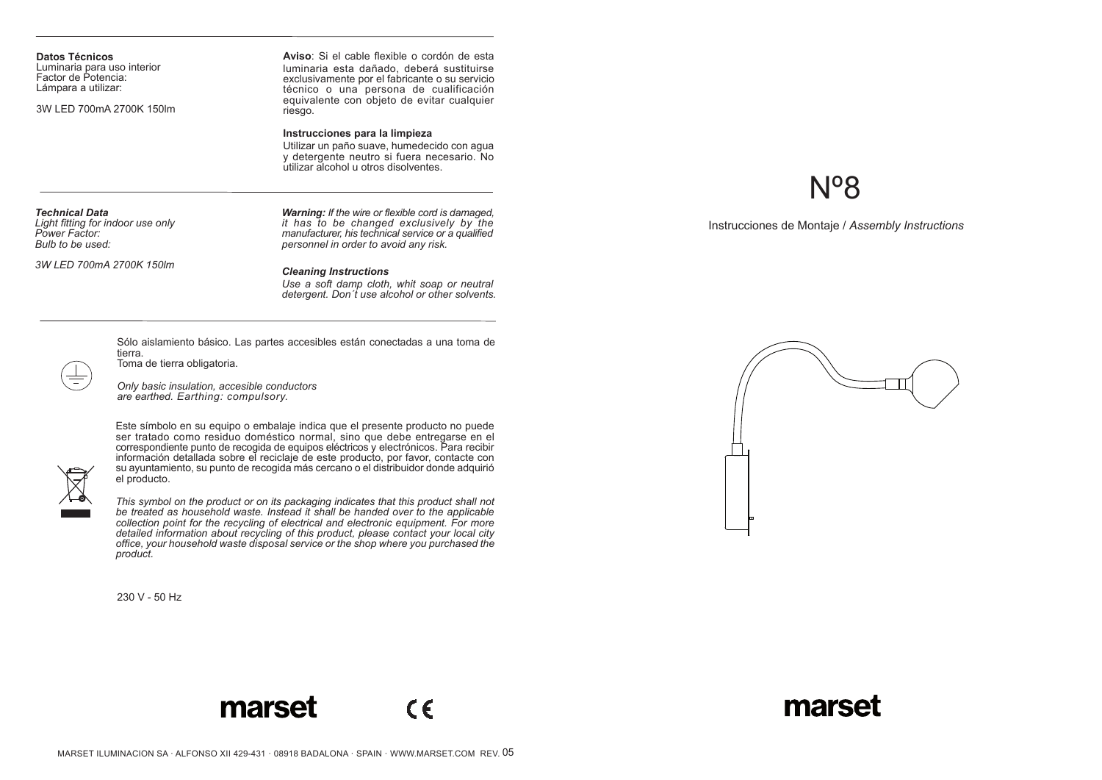**Datos Técnicos** Luminaria para uso interior Factor de Potencia: Lámpara a utilizar:

3W LED 700mA 2700K 150lm

**Aviso**: Si el cable flexible o cordón de esta luminaria esta dañado, deberá sustituirse exclusivamente por el fabricante o su servicio técnico o una persona de cualificación equivalente con objeto de evitar cualquier riesgo.

### **Instrucciones para la limpieza**

Utilizar un paño suave, humedecido con agua y detergente neutro si fuera necesario. No utilizar alcohol u otros disolventes.

#### *Technical Data*

*Light fitting for indoor use only Power Factor: Bulb to be used:*

*3W LED 700mA 2700K 150lm*

*Warning: If the wire or flexible cord is damaged, it has to be changed exclusively by the manufacturer, his technical service or a qualified personnel in order to avoid any risk.*

#### *Cleaning Instructions*

*Use a soft damp cloth, whit soap or neutral detergent. Don´t use alcohol or other solvents.*

Sólo aislamiento básico. Las partes accesibles están conectadas a una toma de tierra.

Toma de tierra obligatoria.

*Only basic insulation, accesible conductors are earthed. Earthing: compulsory.*

Este símbolo en su equipo o embalaje indica que el presente producto no puede ser tratado como residuo doméstico normal, sino que debe entregarse en el correspondiente punto de recogida de equipos eléctricos y electrónicos. Para recibir información detallada sobre el reciclaje de este producto, por favor, contacte con su ayuntamiento, su punto de recogida más cercano o el distribuidor donde adquirió el producto.



*This symbol on the product or on its packaging indicates that this product shall not be treated as household waste. Instead it shall be handed over to the applicable collection point for the recycling of electrical and electronic equipment. For more detailed information about recycling of this product, please contact your local city office, your household waste disposal service or the shop where you purchased the product.*

230 V - 50 Hz

# Nº8

Instrucciones de Montaje / *Assembly Instructions*